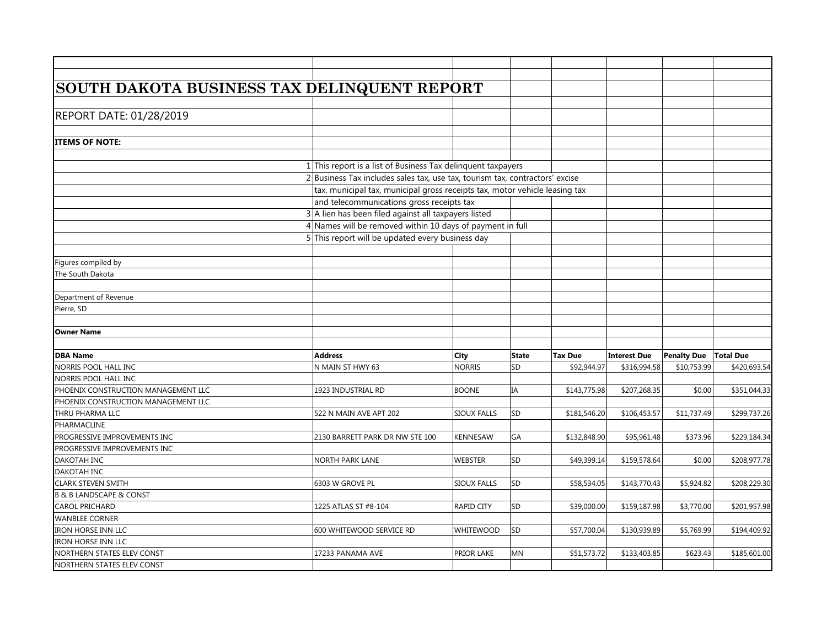| SOUTH DAKOTA BUSINESS TAX DELINQUENT REPORT |                                                                              |                    |              |                |                     |             |                  |
|---------------------------------------------|------------------------------------------------------------------------------|--------------------|--------------|----------------|---------------------|-------------|------------------|
|                                             |                                                                              |                    |              |                |                     |             |                  |
|                                             |                                                                              |                    |              |                |                     |             |                  |
| REPORT DATE: 01/28/2019                     |                                                                              |                    |              |                |                     |             |                  |
|                                             |                                                                              |                    |              |                |                     |             |                  |
| <b>ITEMS OF NOTE:</b>                       |                                                                              |                    |              |                |                     |             |                  |
|                                             |                                                                              |                    |              |                |                     |             |                  |
|                                             | $1$ This report is a list of Business Tax delinquent taxpayers               |                    |              |                |                     |             |                  |
|                                             | 2 Business Tax includes sales tax, use tax, tourism tax, contractors' excise |                    |              |                |                     |             |                  |
|                                             | tax, municipal tax, municipal gross receipts tax, motor vehicle leasing tax  |                    |              |                |                     |             |                  |
|                                             | and telecommunications gross receipts tax                                    |                    |              |                |                     |             |                  |
|                                             | $3$ A lien has been filed against all taxpayers listed                       |                    |              |                |                     |             |                  |
|                                             | 4 Names will be removed within 10 days of payment in full                    |                    |              |                |                     |             |                  |
|                                             | 5 This report will be updated every business day                             |                    |              |                |                     |             |                  |
|                                             |                                                                              |                    |              |                |                     |             |                  |
| Figures compiled by                         |                                                                              |                    |              |                |                     |             |                  |
| The South Dakota                            |                                                                              |                    |              |                |                     |             |                  |
|                                             |                                                                              |                    |              |                |                     |             |                  |
| Department of Revenue                       |                                                                              |                    |              |                |                     |             |                  |
| Pierre, SD                                  |                                                                              |                    |              |                |                     |             |                  |
|                                             |                                                                              |                    |              |                |                     |             |                  |
| <b>Owner Name</b>                           |                                                                              |                    |              |                |                     |             |                  |
|                                             |                                                                              |                    |              |                |                     |             |                  |
| <b>DBA Name</b>                             | <b>Address</b>                                                               | City               | <b>State</b> | <b>Tax Due</b> | <b>Interest Due</b> | Penalty Due | <b>Total Due</b> |
| NORRIS POOL HALL INC                        | N MAIN ST HWY 63                                                             | <b>NORRIS</b>      | SD           | \$92,944.97    | \$316,994.58        | \$10,753.99 | \$420,693.54     |
| NORRIS POOL HALL INC                        |                                                                              |                    |              |                |                     |             |                  |
| PHOENIX CONSTRUCTION MANAGEMENT LLC         | 1923 INDUSTRIAL RD                                                           | <b>BOONE</b>       | IA           | \$143,775.98   | \$207,268.35        | \$0.00      | \$351,044.33     |
| PHOENIX CONSTRUCTION MANAGEMENT LLC         |                                                                              |                    |              |                |                     |             |                  |
| THRU PHARMA LLC                             | 522 N MAIN AVE APT 202                                                       | <b>SIOUX FALLS</b> | SD           | \$181,546.20   | \$106,453.57        | \$11,737.49 | \$299,737.26     |
| PHARMACLINE                                 |                                                                              |                    |              |                |                     |             |                  |
| PROGRESSIVE IMPROVEMENTS INC                | 2130 BARRETT PARK DR NW STE 100                                              | <b>KENNESAW</b>    | GA           | \$132,848.90   | \$95,961.48         | \$373.96    | \$229,184.34     |
| PROGRESSIVE IMPROVEMENTS INC                |                                                                              |                    |              |                |                     |             |                  |
| DAKOTAH INC                                 | NORTH PARK LANE                                                              | <b>WEBSTER</b>     | SD           | \$49,399.14    | \$159,578.64        | \$0.00      | \$208,977.78     |
| DAKOTAH INC                                 |                                                                              |                    |              |                |                     |             |                  |
| <b>CLARK STEVEN SMITH</b>                   | 6303 W GROVE PL                                                              | SIOUX FALLS        | SD           | \$58,534.05    | \$143,770.43        | \$5,924.82  | \$208,229.30     |
| <b>B &amp; B LANDSCAPE &amp; CONST</b>      |                                                                              |                    |              |                |                     |             |                  |
| CAROL PRICHARD                              | 1225 ATLAS ST #8-104                                                         | RAPID CITY         | SD           | \$39,000.00    | \$159,187.98        | \$3,770.00  | \$201,957.98     |
| <b>WANBLEE CORNER</b>                       |                                                                              |                    |              |                |                     |             |                  |
| IRON HORSE INN LLC                          | 600 WHITEWOOD SERVICE RD                                                     | <b>WHITEWOOD</b>   | SD           | \$57,700.04    | \$130,939.89        | \$5,769.99  | \$194,409.92     |
| IRON HORSE INN LLC                          |                                                                              |                    |              |                |                     |             |                  |
| NORTHERN STATES ELEV CONST                  | 17233 PANAMA AVE                                                             | PRIOR LAKE         | <b>MN</b>    | \$51,573.72    | \$133,403.85        | \$623.43    | \$185,601.00     |
| NORTHERN STATES ELEV CONST                  |                                                                              |                    |              |                |                     |             |                  |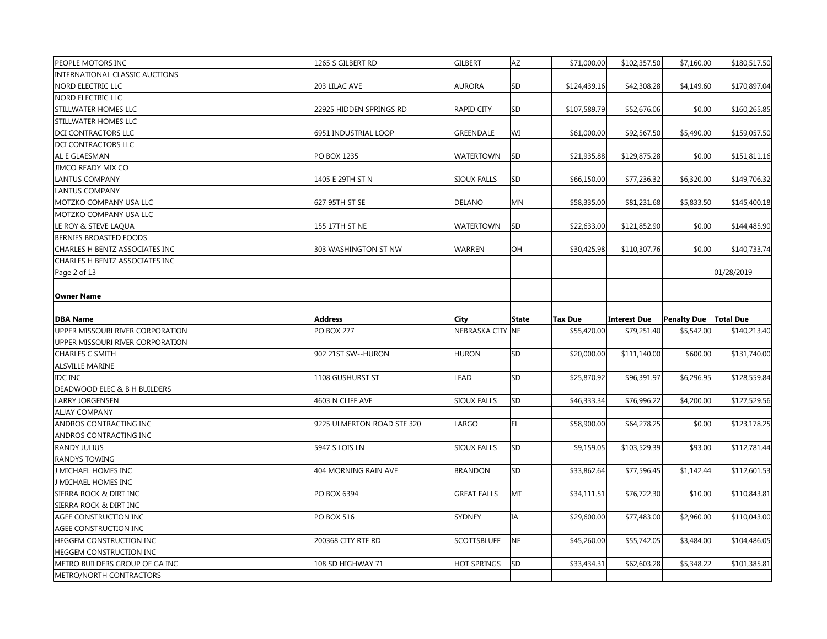| PEOPLE MOTORS INC                | 1265 S GILBERT RD          | <b>GILBERT</b>     | AZ.          | \$71,000.00    | \$102,357.50        | \$7,160.00                     | \$180,517.50 |
|----------------------------------|----------------------------|--------------------|--------------|----------------|---------------------|--------------------------------|--------------|
| INTERNATIONAL CLASSIC AUCTIONS   |                            |                    |              |                |                     |                                |              |
| NORD ELECTRIC LLC                | 203 LILAC AVE              | <b>AURORA</b>      | SD           | \$124,439.16   | \$42,308.28         | \$4,149.60                     | \$170,897.04 |
| NORD ELECTRIC LLC                |                            |                    |              |                |                     |                                |              |
| STILLWATER HOMES LLC             | 22925 HIDDEN SPRINGS RD    | RAPID CITY         | SD           | \$107,589.79   | \$52,676.06         | \$0.00                         | \$160,265.85 |
| STILLWATER HOMES LLC             |                            |                    |              |                |                     |                                |              |
| DCI CONTRACTORS LLC              | 6951 INDUSTRIAL LOOP       | GREENDALE          | WI           | \$61,000.00    | \$92,567.50         | \$5,490.00                     | \$159,057.50 |
| DCI CONTRACTORS LLC              |                            |                    |              |                |                     |                                |              |
| AL E GLAESMAN                    | PO BOX 1235                | WATERTOWN          | SD           | \$21,935.88    | \$129,875.28        | \$0.00                         | \$151,811.16 |
| JIMCO READY MIX CO               |                            |                    |              |                |                     |                                |              |
| <b>LANTUS COMPANY</b>            | 1405 E 29TH ST N           | <b>SIOUX FALLS</b> | SD           | \$66,150.00    | \$77,236.32         | \$6,320.00                     | \$149,706.32 |
| <b>LANTUS COMPANY</b>            |                            |                    |              |                |                     |                                |              |
| MOTZKO COMPANY USA LLC           | 627 95TH ST SE             | <b>DELANO</b>      | MN           | \$58,335.00    | \$81,231.68         | \$5,833.50                     | \$145,400.18 |
| MOTZKO COMPANY USA LLC           |                            |                    |              |                |                     |                                |              |
| LE ROY & STEVE LAQUA             | 155 17TH ST NE             | <b>WATERTOWN</b>   | <b>SD</b>    | \$22,633.00    | \$121,852.90        | \$0.00                         | \$144,485.90 |
| BERNIES BROASTED FOODS           |                            |                    |              |                |                     |                                |              |
| CHARLES H BENTZ ASSOCIATES INC   | 303 WASHINGTON ST NW       | WARREN             | OH           | \$30,425.98    | \$110,307.76        | \$0.00                         | \$140,733.74 |
| CHARLES H BENTZ ASSOCIATES INC   |                            |                    |              |                |                     |                                |              |
| Page 2 of 13                     |                            |                    |              |                |                     |                                | 01/28/2019   |
|                                  |                            |                    |              |                |                     |                                |              |
| <b>Owner Name</b>                |                            |                    |              |                |                     |                                |              |
|                                  |                            |                    |              |                |                     |                                |              |
|                                  |                            |                    |              |                |                     |                                |              |
| <b>DBA Name</b>                  | <b>Address</b>             | City               | <b>State</b> | <b>Tax Due</b> | <b>Interest Due</b> | <b>Penalty Due   Total Due</b> |              |
| UPPER MISSOURI RIVER CORPORATION | <b>PO BOX 277</b>          | NEBRASKA CITY NE   |              | \$55,420.00    | \$79,251.40         | \$5,542.00                     | \$140,213.40 |
| UPPER MISSOURI RIVER CORPORATION |                            |                    |              |                |                     |                                |              |
| CHARLES C SMITH                  | 902 21ST SW--HURON         | <b>HURON</b>       | SD           | \$20,000.00    | \$111,140.00        | \$600.00                       | \$131,740.00 |
| ALSVILLE MARINE                  |                            |                    |              |                |                     |                                |              |
| <b>IDC INC</b>                   | 1108 GUSHURST ST           | <b>LEAD</b>        | SD           | \$25,870.92    | \$96,391.97         | \$6,296.95                     | \$128,559.84 |
| DEADWOOD ELEC & B H BUILDERS     |                            |                    |              |                |                     |                                |              |
| LARRY JORGENSEN                  | 4603 N CLIFF AVE           | <b>SIOUX FALLS</b> | SD           | \$46,333.34    | \$76,996.22         | \$4,200.00                     | \$127,529.56 |
| <b>ALJAY COMPANY</b>             |                            |                    |              |                |                     |                                |              |
| ANDROS CONTRACTING INC           | 9225 ULMERTON ROAD STE 320 | LARGO              | FL.          | \$58,900.00    | \$64,278.25         | \$0.00                         | \$123,178.25 |
| ANDROS CONTRACTING INC           |                            |                    |              |                |                     |                                |              |
| RANDY JULIUS                     | 5947 S LOIS LN             | <b>SIOUX FALLS</b> | SD           | \$9,159.05     | \$103,529.39        | \$93.00                        | \$112,781.44 |
| RANDYS TOWING                    |                            |                    |              |                |                     |                                |              |
| J MICHAEL HOMES INC              | 404 MORNING RAIN AVE       | <b>BRANDON</b>     | SD           | \$33,862.64    | \$77,596.45         | \$1,142.44                     | \$112,601.53 |
| J MICHAEL HOMES INC              |                            |                    |              |                |                     |                                |              |
| SIERRA ROCK & DIRT INC           | PO BOX 6394                | <b>GREAT FALLS</b> | MT.          | \$34,111.51    | \$76,722.30         | \$10.00                        | \$110,843.81 |
| SIERRA ROCK & DIRT INC           |                            |                    |              |                |                     |                                |              |
| AGEE CONSTRUCTION INC            | <b>PO BOX 516</b>          | SYDNEY             | <b>IA</b>    | \$29,600.00    | \$77,483.00         | \$2,960.00                     | \$110,043.00 |
| AGEE CONSTRUCTION INC            |                            |                    |              |                |                     |                                |              |
| HEGGEM CONSTRUCTION INC          | 200368 CITY RTE RD         | <b>SCOTTSBLUFF</b> | NE           | \$45,260.00    | \$55,742.05         | \$3,484.00                     | \$104,486.05 |
| HEGGEM CONSTRUCTION INC          |                            |                    |              |                |                     |                                |              |
| METRO BUILDERS GROUP OF GA INC   | 108 SD HIGHWAY 71          | <b>HOT SPRINGS</b> | SD           | \$33,434.31    | \$62,603.28         | \$5,348.22                     | \$101,385.81 |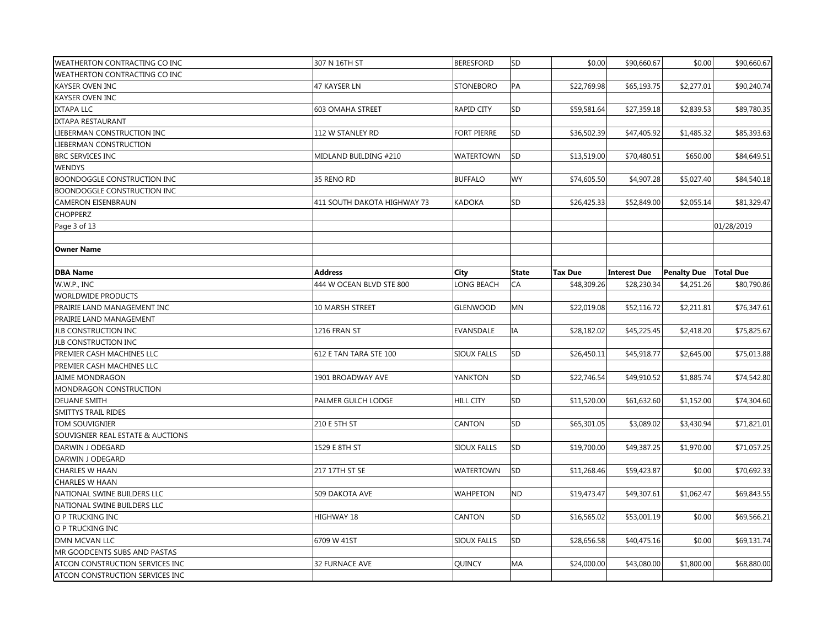| <b>WEATHERTON CONTRACTING CO INC</b> | 307 N 16TH ST               | <b>BERESFORD</b>   | lsd          | \$0.00         | \$90,660.67         | \$0.00             | \$90,660.67      |
|--------------------------------------|-----------------------------|--------------------|--------------|----------------|---------------------|--------------------|------------------|
| WEATHERTON CONTRACTING CO INC        |                             |                    |              |                |                     |                    |                  |
| <b>KAYSER OVEN INC</b>               | 47 KAYSER LN                | <b>STONEBORO</b>   | PA           | \$22,769.98    | \$65,193.75         | \$2,277.01         | \$90,240.74      |
| <b>KAYSER OVEN INC</b>               |                             |                    |              |                |                     |                    |                  |
| <b>IXTAPA LLC</b>                    | 603 OMAHA STREET            | RAPID CITY         | SD           | \$59,581.64    | \$27,359.18         | \$2,839.53         | \$89,780.35      |
| <b>IXTAPA RESTAURANT</b>             |                             |                    |              |                |                     |                    |                  |
| LIEBERMAN CONSTRUCTION INC           | 112 W STANLEY RD            | <b>FORT PIERRE</b> | SD           | \$36,502.39    | \$47,405.92         | \$1,485.32         | \$85,393.63      |
| LIEBERMAN CONSTRUCTION               |                             |                    |              |                |                     |                    |                  |
| <b>BRC SERVICES INC</b>              | MIDLAND BUILDING #210       | <b>WATERTOWN</b>   | SD           | \$13,519.00    | \$70,480.51         | \$650.00           | \$84,649.51      |
| <b>WENDYS</b>                        |                             |                    |              |                |                     |                    |                  |
| BOONDOGGLE CONSTRUCTION INC          | 35 RENO RD                  | <b>BUFFALO</b>     | <b>WY</b>    | \$74,605.50    | \$4,907.28          | \$5,027.40         | \$84,540.18      |
| <b>BOONDOGGLE CONSTRUCTION INC</b>   |                             |                    |              |                |                     |                    |                  |
| <b>CAMERON EISENBRAUN</b>            | 411 SOUTH DAKOTA HIGHWAY 73 | <b>KADOKA</b>      | SD           | \$26,425.33    | \$52,849.00         | \$2,055.14         | \$81,329.47      |
| <b>CHOPPERZ</b>                      |                             |                    |              |                |                     |                    |                  |
| Page 3 of 13                         |                             |                    |              |                |                     |                    | 01/28/2019       |
|                                      |                             |                    |              |                |                     |                    |                  |
| <b>Owner Name</b>                    |                             |                    |              |                |                     |                    |                  |
|                                      |                             |                    |              |                |                     |                    |                  |
| <b>DBA Name</b>                      | <b>Address</b>              | <b>City</b>        | <b>State</b> | <b>Tax Due</b> | <b>Interest Due</b> | <b>Penalty Due</b> | <b>Total Due</b> |
| W.W.P., INC                          | 444 W OCEAN BLVD STE 800    | LONG BEACH         | CA           | \$48,309.26    | \$28,230.34         | \$4,251.26         | \$80,790.86      |
| WORLDWIDE PRODUCTS                   |                             |                    |              |                |                     |                    |                  |
| PRAIRIE LAND MANAGEMENT INC          | 10 MARSH STREET             | <b>GLENWOOD</b>    | MN           | \$22,019.08    | \$52,116.72         | \$2,211.81         | \$76,347.61      |
| PRAIRIE LAND MANAGEMENT              |                             |                    |              |                |                     |                    |                  |
| JLB CONSTRUCTION INC                 | 1216 FRAN ST                | EVANSDALE          | ΙA           | \$28,182.02    | \$45,225.45         | \$2,418.20         | \$75,825.67      |
| JLB CONSTRUCTION INC                 |                             |                    |              |                |                     |                    |                  |
| PREMIER CASH MACHINES LLC            | 612 E TAN TARA STE 100      | <b>SIOUX FALLS</b> | SD           | \$26,450.11    | \$45,918.77         | \$2,645.00         | \$75,013.88      |
| PREMIER CASH MACHINES LLC            |                             |                    |              |                |                     |                    |                  |
| <b>JAIME MONDRAGON</b>               | 1901 BROADWAY AVE           | YANKTON            | SD           | \$22,746.54    | \$49,910.52         | \$1,885.74         | \$74,542.80      |
| MONDRAGON CONSTRUCTION               |                             |                    |              |                |                     |                    |                  |
| <b>DEUANE SMITH</b>                  | PALMER GULCH LODGE          | <b>HILL CITY</b>   | SD           | \$11,520.00    | \$61,632.60         | \$1,152.00         | \$74,304.60      |
| <b>SMITTYS TRAIL RIDES</b>           |                             |                    |              |                |                     |                    |                  |
| <b>TOM SOUVIGNIER</b>                | 210 E 5TH ST                | CANTON             | SD           | \$65,301.05    | \$3,089.02          | \$3,430.94         | \$71,821.01      |
| SOUVIGNIER REAL ESTATE & AUCTIONS    |                             |                    |              |                |                     |                    |                  |
| DARWIN J ODEGARD                     | 1529 E 8TH ST               | <b>SIOUX FALLS</b> | SD           | \$19,700.00    | \$49,387.25         | \$1,970.00         | \$71,057.25      |
| DARWIN J ODEGARD                     |                             |                    |              |                |                     |                    |                  |
| CHARLES W HAAN                       | 217 17TH ST SE              | <b>WATERTOWN</b>   | SD           | \$11,268.46    | \$59,423.87         | \$0.00             | \$70,692.33      |
| CHARLES W HAAN                       |                             |                    |              |                |                     |                    |                  |
| NATIONAL SWINE BUILDERS LLC          | 509 DAKOTA AVE              | <b>WAHPETON</b>    | <b>ND</b>    | \$19,473.47    | \$49,307.61         | \$1,062.47         | \$69,843.55      |
| NATIONAL SWINE BUILDERS LLC          |                             |                    |              |                |                     |                    |                  |
| O P TRUCKING INC                     | HIGHWAY 18                  | CANTON             | <b>SD</b>    | \$16,565.02    | \$53,001.19         | \$0.00             | \$69,566.21      |
| O P TRUCKING INC                     |                             |                    |              |                |                     |                    |                  |
| DMN MCVAN LLC                        | 6709 W 41ST                 | <b>SIOUX FALLS</b> | SD           | \$28,656.58    | \$40,475.16         | \$0.00             | \$69,131.74      |
| MR GOODCENTS SUBS AND PASTAS         |                             |                    |              |                |                     |                    |                  |
| ATCON CONSTRUCTION SERVICES INC      | 32 FURNACE AVE              | QUINCY             | MA           | \$24,000.00    | \$43,080.00         | \$1,800.00         | \$68,880.00      |
| ATCON CONSTRUCTION SERVICES INC      |                             |                    |              |                |                     |                    |                  |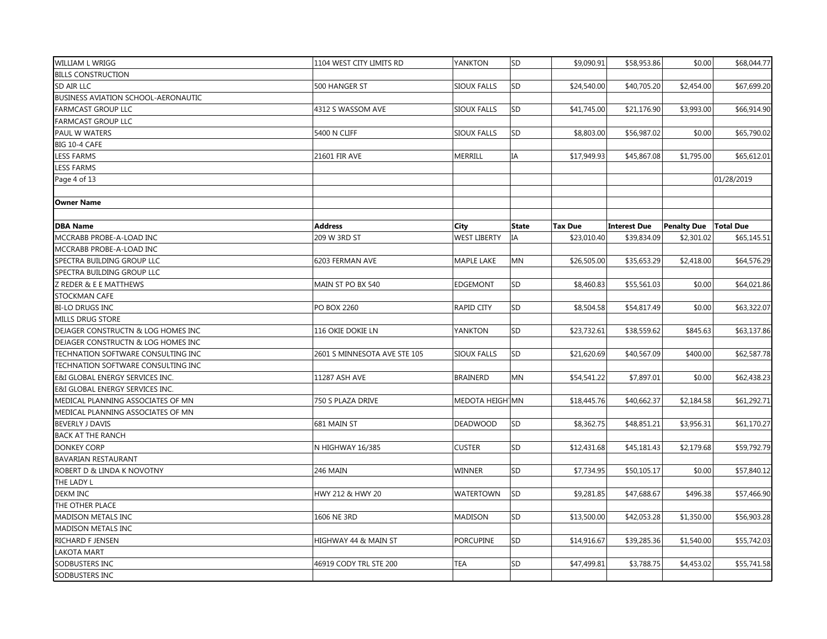| WILLIAM L WRIGG                            | 1104 WEST CITY LIMITS RD     | YANKTON             | SD           | \$9,090.91     | \$58,953.86         | \$0.00             | \$68,044.77      |
|--------------------------------------------|------------------------------|---------------------|--------------|----------------|---------------------|--------------------|------------------|
| <b>BILLS CONSTRUCTION</b>                  |                              |                     |              |                |                     |                    |                  |
| SD AIR LLC                                 | 500 HANGER ST                | <b>SIOUX FALLS</b>  | SD           | \$24,540.00    | \$40,705.20         | \$2,454.00         | \$67,699.20      |
| <b>BUSINESS AVIATION SCHOOL-AERONAUTIC</b> |                              |                     |              |                |                     |                    |                  |
| <b>FARMCAST GROUP LLC</b>                  | 4312 S WASSOM AVE            | SIOUX FALLS         | SD           | \$41,745.00    | \$21,176.90         | \$3,993.00         | \$66,914.90      |
| <b>FARMCAST GROUP LLC</b>                  |                              |                     |              |                |                     |                    |                  |
| PAUL W WATERS                              | 5400 N CLIFF                 | <b>SIOUX FALLS</b>  | SD           | \$8,803.00     | \$56,987.02         | \$0.00             | \$65,790.02      |
| BIG 10-4 CAFE                              |                              |                     |              |                |                     |                    |                  |
| <b>LESS FARMS</b>                          | 21601 FIR AVE                | MERRILL             | ΙA           | \$17,949.93    | \$45,867.08         | \$1,795.00         | \$65,612.01      |
| <b>LESS FARMS</b>                          |                              |                     |              |                |                     |                    |                  |
| Page 4 of 13                               |                              |                     |              |                |                     |                    | 01/28/2019       |
|                                            |                              |                     |              |                |                     |                    |                  |
| <b>Owner Name</b>                          |                              |                     |              |                |                     |                    |                  |
|                                            |                              |                     |              |                |                     |                    |                  |
| <b>DBA Name</b>                            | <b>Address</b>               | City                | <b>State</b> | <b>Tax Due</b> | <b>Interest Due</b> | <b>Penalty Due</b> | <b>Total Due</b> |
| MCCRABB PROBE-A-LOAD INC                   | 209 W 3RD ST                 | <b>WEST LIBERTY</b> | IA           | \$23,010.40    | \$39,834.09         | \$2,301.02         | \$65,145.51      |
| MCCRABB PROBE-A-LOAD INC                   |                              |                     |              |                |                     |                    |                  |
| SPECTRA BUILDING GROUP LLC                 | 6203 FERMAN AVE              | <b>MAPLE LAKE</b>   | MN           | \$26,505.00    | \$35,653.29         | \$2,418.00         | \$64,576.29      |
| SPECTRA BUILDING GROUP LLC                 |                              |                     |              |                |                     |                    |                  |
| Z REDER & E E MATTHEWS                     | MAIN ST PO BX 540            | <b>EDGEMONT</b>     | SD           | \$8,460.83     | \$55,561.03         | \$0.00             | \$64,021.86      |
| STOCKMAN CAFE                              |                              |                     |              |                |                     |                    |                  |
| <b>BI-LO DRUGS INC</b>                     | <b>PO BOX 2260</b>           | <b>RAPID CITY</b>   | SD           | \$8,504.58     | \$54,817.49         | \$0.00             | \$63,322.07      |
| <b>MILLS DRUG STORE</b>                    |                              |                     |              |                |                     |                    |                  |
| DEJAGER CONSTRUCTN & LOG HOMES INC         | 116 OKIE DOKIE LN            | YANKTON             | SD           | \$23,732.61    | \$38,559.62         | \$845.63           | \$63,137.86      |
| DEJAGER CONSTRUCTN & LOG HOMES INC         |                              |                     |              |                |                     |                    |                  |
| TECHNATION SOFTWARE CONSULTING INC         | 2601 S MINNESOTA AVE STE 105 | <b>SIOUX FALLS</b>  | SD           | \$21,620.69    | \$40,567.09         | \$400.00           | \$62,587.78      |
| TECHNATION SOFTWARE CONSULTING INC         |                              |                     |              |                |                     |                    |                  |
| E&I GLOBAL ENERGY SERVICES INC.            | 11287 ASH AVE                | <b>BRAINERD</b>     | MN           | \$54,541.22    | \$7,897.01          | \$0.00             | \$62,438.23      |
| E&I GLOBAL ENERGY SERVICES INC.            |                              |                     |              |                |                     |                    |                  |
| MEDICAL PLANNING ASSOCIATES OF MN          | 750 S PLAZA DRIVE            | MEDOTA HEIGH MN     |              | \$18,445.76    | \$40,662.37         | \$2,184.58         | \$61,292.71      |
| MEDICAL PLANNING ASSOCIATES OF MN          |                              |                     |              |                |                     |                    |                  |
| <b>BEVERLY J DAVIS</b>                     | 681 MAIN ST                  | DEADWOOD            | SD           | \$8,362.75     | \$48,851.21         | \$3,956.31         | \$61,170.27      |
| <b>BACK AT THE RANCH</b>                   |                              |                     |              |                |                     |                    |                  |
| <b>DONKEY CORP</b>                         | N HIGHWAY 16/385             | <b>CUSTER</b>       | SD           | \$12,431.68    | \$45,181.43         | \$2,179.68         | \$59,792.79      |
| <b>BAVARIAN RESTAURANT</b>                 |                              |                     |              |                |                     |                    |                  |
| ROBERT D & LINDA K NOVOTNY                 | 246 MAIN                     | <b>WINNER</b>       | SD           | \$7,734.95     | \$50,105.17         | \$0.00             | \$57,840.12      |
| THE LADY L                                 |                              |                     |              |                |                     |                    |                  |
| <b>DEKM INC</b>                            | HWY 212 & HWY 20             | <b>WATERTOWN</b>    | SD           | \$9,281.85     | \$47,688.67         | \$496.38           | \$57,466.90      |
| THE OTHER PLACE                            |                              |                     |              |                |                     |                    |                  |
| <b>MADISON METALS INC</b>                  | 1606 NE 3RD                  | <b>MADISON</b>      | SD           | \$13,500.00    | \$42,053.28         | \$1,350.00         | \$56,903.28      |
| MADISON METALS INC                         |                              |                     |              |                |                     |                    |                  |
| RICHARD F JENSEN                           | HIGHWAY 44 & MAIN ST         | <b>PORCUPINE</b>    | SD           | \$14,916.67    | \$39,285.36         | \$1,540.00         | \$55,742.03      |
| <b>LAKOTA MART</b>                         |                              |                     |              |                |                     |                    |                  |
| SODBUSTERS INC                             | 46919 CODY TRL STE 200       | <b>TEA</b>          | SD           | \$47,499.81    | \$3,788.75          | \$4,453.02         | \$55,741.58      |
| SODBUSTERS INC                             |                              |                     |              |                |                     |                    |                  |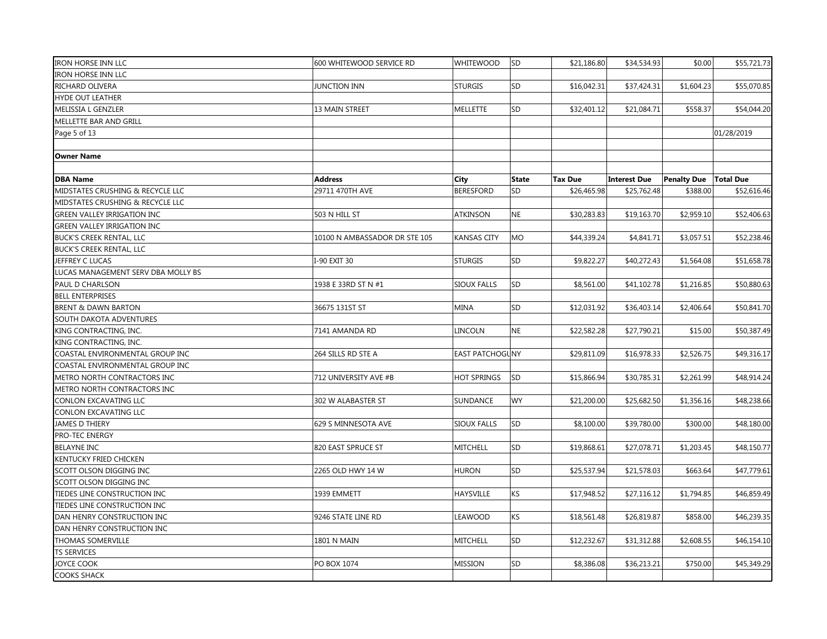| <b>IRON HORSE INN LLC</b>          | 600 WHITEWOOD SERVICE RD      | WHITEWOOD          | <b>SD</b>    | \$21,186.80    | \$34,534.93         | \$0.00                         | \$55,721.73 |
|------------------------------------|-------------------------------|--------------------|--------------|----------------|---------------------|--------------------------------|-------------|
| <b>IRON HORSE INN LLC</b>          |                               |                    |              |                |                     |                                |             |
| RICHARD OLIVERA                    | <b>JUNCTION INN</b>           | <b>STURGIS</b>     | SD           | \$16,042.31    | \$37,424.31         | \$1,604.23                     | \$55,070.85 |
| <b>HYDE OUT LEATHER</b>            |                               |                    |              |                |                     |                                |             |
| MELISSIA L GENZLER                 | 13 MAIN STREET                | <b>MELLETTE</b>    | SD           | \$32,401.12    | \$21,084.71         | \$558.37                       | \$54,044.20 |
| MELLETTE BAR AND GRILL             |                               |                    |              |                |                     |                                |             |
| Page 5 of 13                       |                               |                    |              |                |                     |                                | 01/28/2019  |
|                                    |                               |                    |              |                |                     |                                |             |
| <b>Owner Name</b>                  |                               |                    |              |                |                     |                                |             |
|                                    |                               |                    |              |                |                     |                                |             |
| <b>DBA Name</b>                    | <b>Address</b>                | City               | <b>State</b> | <b>Tax Due</b> | <b>Interest Due</b> | <b>Penalty Due   Total Due</b> |             |
| MIDSTATES CRUSHING & RECYCLE LLC   | 29711 470TH AVE               | <b>BERESFORD</b>   | SD           | \$26,465.98    | \$25,762.48         | \$388.00                       | \$52,616.46 |
| MIDSTATES CRUSHING & RECYCLE LLC   |                               |                    |              |                |                     |                                |             |
| <b>GREEN VALLEY IRRIGATION INC</b> | 503 N HILL ST                 | <b>ATKINSON</b>    | <b>NE</b>    | \$30,283.83    | \$19,163.70         | \$2,959.10                     | \$52,406.63 |
| <b>GREEN VALLEY IRRIGATION INC</b> |                               |                    |              |                |                     |                                |             |
| <b>BUCK'S CREEK RENTAL, LLC</b>    | 10100 N AMBASSADOR DR STE 105 | <b>KANSAS CITY</b> | <b>MO</b>    | \$44,339.24    | \$4,841.71          | \$3,057.51                     | \$52,238.46 |
| <b>BUCK'S CREEK RENTAL, LLC</b>    |                               |                    |              |                |                     |                                |             |
| JEFFREY C LUCAS                    | I-90 EXIT 30                  | <b>STURGIS</b>     | SD           | \$9,822.27     | \$40,272.43         | \$1,564.08                     | \$51,658.78 |
| LUCAS MANAGEMENT SERV DBA MOLLY BS |                               |                    |              |                |                     |                                |             |
| PAUL D CHARLSON                    | 1938 E 33RD ST N #1           | <b>SIOUX FALLS</b> | SD           | \$8,561.00     | \$41,102.78         | \$1,216.85                     | \$50,880.63 |
| <b>BELL ENTERPRISES</b>            |                               |                    |              |                |                     |                                |             |
| <b>BRENT &amp; DAWN BARTON</b>     | 36675 131ST ST                | <b>MINA</b>        | SD           | \$12,031.92    | \$36,403.14         | \$2,406.64                     | \$50,841.70 |
| SOUTH DAKOTA ADVENTURES            |                               |                    |              |                |                     |                                |             |
| KING CONTRACTING, INC.             | 7141 AMANDA RD                | LINCOLN            | <b>NE</b>    | \$22,582.28    | \$27,790.21         | \$15.00                        | \$50,387.49 |
| KING CONTRACTING, INC.             |                               |                    |              |                |                     |                                |             |
| COASTAL ENVIRONMENTAL GROUP INC    | 264 SILLS RD STE A            | EAST PATCHOGUNY    |              | \$29,811.09    | \$16,978.33         | \$2,526.75                     | \$49,316.17 |
| COASTAL ENVIRONMENTAL GROUP INC    |                               |                    |              |                |                     |                                |             |
| METRO NORTH CONTRACTORS INC        | 712 UNIVERSITY AVE #B         | <b>HOT SPRINGS</b> | lsd          | \$15,866.94    | \$30,785.31         | \$2,261.99                     | \$48,914.24 |
| METRO NORTH CONTRACTORS INC        |                               |                    |              |                |                     |                                |             |
| CONLON EXCAVATING LLC              | 302 W ALABASTER ST            | SUNDANCE           | <b>WY</b>    | \$21,200.00    | \$25,682.50         | \$1,356.16                     | \$48,238.66 |
| CONLON EXCAVATING LLC              |                               |                    |              |                |                     |                                |             |
| <b>JAMES D THIERY</b>              | 629 S MINNESOTA AVE           | <b>SIOUX FALLS</b> | SD           | \$8,100.00     | \$39,780.00         | \$300.00                       | \$48,180.00 |
| PRO-TEC ENERGY                     |                               |                    |              |                |                     |                                |             |
| <b>BELAYNE INC</b>                 | 820 EAST SPRUCE ST            | <b>MITCHELL</b>    | SD           | \$19,868.61    | \$27,078.71         | \$1,203.45                     | \$48,150.77 |
| KENTUCKY FRIED CHICKEN             |                               |                    |              |                |                     |                                |             |
| SCOTT OLSON DIGGING INC            | 2265 OLD HWY 14 W             | <b>HURON</b>       | SD           | \$25,537.94    | \$21,578.03         | \$663.64                       | \$47,779.61 |
| SCOTT OLSON DIGGING INC            |                               |                    |              |                |                     |                                |             |
| TIEDES LINE CONSTRUCTION INC       | 1939 EMMETT                   | HAYSVILLE          | ΚS           | \$17,948.52    | \$27,116.12         | \$1,794.85                     | \$46,859.49 |
| TIEDES LINE CONSTRUCTION INC       |                               |                    |              |                |                     |                                |             |
| DAN HENRY CONSTRUCTION INC         | 9246 STATE LINE RD            | LEAWOOD            | ΚS           | \$18,561.48    | \$26,819.87         | \$858.00                       | \$46,239.35 |
| DAN HENRY CONSTRUCTION INC         |                               |                    |              |                |                     |                                |             |
| THOMAS SOMERVILLE                  | 1801 N MAIN                   | <b>MITCHELL</b>    | SD           | \$12,232.67    | \$31,312.88         | \$2,608.55                     | \$46,154.10 |
| <b>TS SERVICES</b>                 |                               |                    |              |                |                     |                                |             |
| <b>JOYCE COOK</b>                  | PO BOX 1074                   | <b>MISSION</b>     | SD           | \$8,386.08     | \$36,213.21         | \$750.00                       | \$45,349.29 |
| <b>COOKS SHACK</b>                 |                               |                    |              |                |                     |                                |             |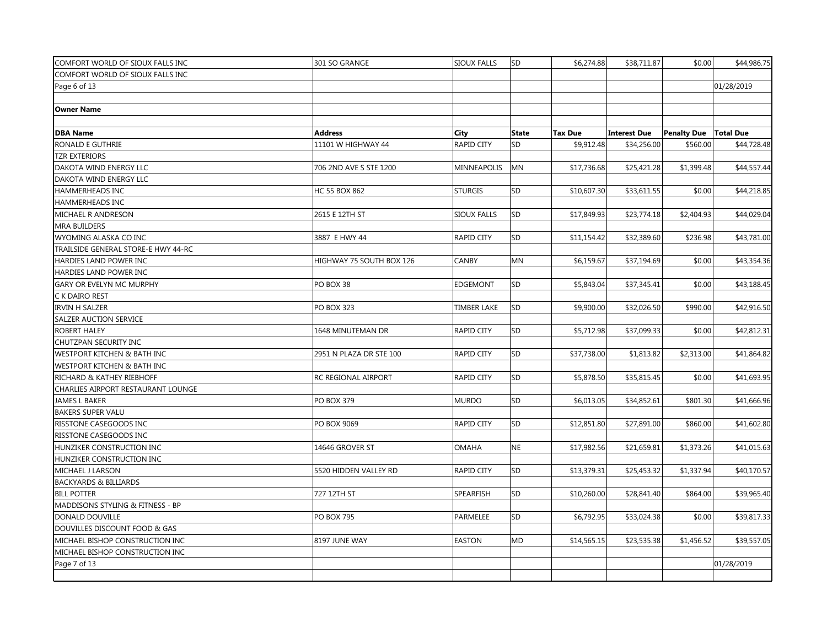| COMFORT WORLD OF SIOUX FALLS INC    | 301 SO GRANGE            | <b>SIOUX FALLS</b> | <b>SD</b> | \$6,274.88     | \$38,711.87         | \$0.00                         | \$44,986.75 |
|-------------------------------------|--------------------------|--------------------|-----------|----------------|---------------------|--------------------------------|-------------|
| COMFORT WORLD OF SIOUX FALLS INC    |                          |                    |           |                |                     |                                |             |
| Page 6 of 13                        |                          |                    |           |                |                     |                                | 01/28/2019  |
|                                     |                          |                    |           |                |                     |                                |             |
| <b>Owner Name</b>                   |                          |                    |           |                |                     |                                |             |
|                                     |                          |                    |           |                |                     |                                |             |
| <b>DBA Name</b>                     | <b>Address</b>           | <b>City</b>        | State     | <b>Tax Due</b> | <b>Interest Due</b> | <b>Penalty Due   Total Due</b> |             |
| RONALD E GUTHRIE                    | 11101 W HIGHWAY 44       | <b>RAPID CITY</b>  | SD        | \$9,912.48     | \$34,256.00         | \$560.00                       | \$44,728.48 |
| <b>TZR EXTERIORS</b>                |                          |                    |           |                |                     |                                |             |
| DAKOTA WIND ENERGY LLC              | 706 2ND AVE S STE 1200   | MINNEAPOLIS        | <b>MN</b> | \$17,736.68    | \$25,421.28         | \$1,399.48                     | \$44,557.44 |
| DAKOTA WIND ENERGY LLC              |                          |                    |           |                |                     |                                |             |
| HAMMERHEADS INC                     | <b>HC 55 BOX 862</b>     | <b>STURGIS</b>     | SD        | \$10,607.30    | \$33,611.55         | \$0.00                         | \$44,218.85 |
| HAMMERHEADS INC                     |                          |                    |           |                |                     |                                |             |
| MICHAEL R ANDRESON                  | 2615 E 12TH ST           | <b>SIOUX FALLS</b> | SD        | \$17,849.93    | \$23,774.18         | \$2,404.93                     | \$44,029.04 |
| <b>MRA BUILDERS</b>                 |                          |                    |           |                |                     |                                |             |
| WYOMING ALASKA CO INC               | 3887 E HWY 44            | <b>RAPID CITY</b>  | SD        | \$11,154.42    | \$32,389.60         | \$236.98                       | \$43,781.00 |
| TRAILSIDE GENERAL STORE-E HWY 44-RC |                          |                    |           |                |                     |                                |             |
| HARDIES LAND POWER INC              | HIGHWAY 75 SOUTH BOX 126 | CANBY              | MN        | \$6,159.67     | \$37,194.69         | \$0.00                         | \$43,354.36 |
| HARDIES LAND POWER INC              |                          |                    |           |                |                     |                                |             |
| GARY OR EVELYN MC MURPHY            | PO BOX 38                | <b>EDGEMONT</b>    | SD        | \$5,843.04     | \$37,345.41         | \$0.00                         | \$43,188.45 |
| C K DAIRO REST                      |                          |                    |           |                |                     |                                |             |
| <b>IRVIN H SALZER</b>               | <b>PO BOX 323</b>        | <b>TIMBER LAKE</b> | SD        | \$9,900.00     | \$32,026.50         | \$990.00                       | \$42,916.50 |
| SALZER AUCTION SERVICE              |                          |                    |           |                |                     |                                |             |
| ROBERT HALEY                        | 1648 MINUTEMAN DR        | <b>RAPID CITY</b>  | SD        | \$5,712.98     | \$37,099.33         | \$0.00                         | \$42,812.31 |
| CHUTZPAN SECURITY INC               |                          |                    |           |                |                     |                                |             |
| WESTPORT KITCHEN & BATH INC         | 2951 N PLAZA DR STE 100  | <b>RAPID CITY</b>  | SD        | \$37,738.00    | \$1,813.82          | \$2,313.00                     | \$41,864.82 |
| WESTPORT KITCHEN & BATH INC         |                          |                    |           |                |                     |                                |             |
| RICHARD & KATHEY RIEBHOFF           | RC REGIONAL AIRPORT      | RAPID CITY         | SD        | \$5,878.50     | \$35,815.45         | \$0.00                         | \$41,693.95 |
| CHARLIES AIRPORT RESTAURANT LOUNGE  |                          |                    |           |                |                     |                                |             |
| <b>JAMES L BAKER</b>                | <b>PO BOX 379</b>        | <b>MURDO</b>       | SD        | \$6,013.05     | \$34,852.61         | \$801.30                       | \$41,666.96 |
| <b>BAKERS SUPER VALU</b>            |                          |                    |           |                |                     |                                |             |
| RISSTONE CASEGOODS INC              | PO BOX 9069              | RAPID CITY         | SD        | \$12,851.80    | \$27,891.00         | \$860.00                       | \$41,602.80 |
| RISSTONE CASEGOODS INC              |                          |                    |           |                |                     |                                |             |
| HUNZIKER CONSTRUCTION INC           | 14646 GROVER ST          | <b>OMAHA</b>       | <b>NE</b> | \$17,982.56    | \$21,659.81         | \$1,373.26                     | \$41,015.63 |
| HUNZIKER CONSTRUCTION INC           |                          |                    |           |                |                     |                                |             |
| MICHAEL J LARSON                    | 5520 HIDDEN VALLEY RD    | <b>RAPID CITY</b>  | SD        | \$13,379.31    | \$25,453.32         | \$1,337.94                     | \$40,170.57 |
| <b>BACKYARDS &amp; BILLIARDS</b>    |                          |                    |           |                |                     |                                |             |
| <b>BILL POTTER</b>                  | 727 12TH ST              | SPEARFISH          | SD        | \$10,260.00    | \$28,841.40         | \$864.00                       | \$39,965.40 |
| MADDISONS STYLING & FITNESS - BP    |                          |                    |           |                |                     |                                |             |
| DONALD DOUVILLE                     | <b>PO BOX 795</b>        | PARMELEE           | SD        | \$6,792.95     | \$33,024.38         | \$0.00                         | \$39,817.33 |
| DOUVILLES DISCOUNT FOOD & GAS       |                          |                    |           |                |                     |                                |             |
| MICHAEL BISHOP CONSTRUCTION INC     | 8197 JUNE WAY            | <b>EASTON</b>      | <b>MD</b> | \$14,565.15    | \$23,535.38         | \$1,456.52                     | \$39,557.05 |
| MICHAEL BISHOP CONSTRUCTION INC     |                          |                    |           |                |                     |                                |             |
| Page 7 of 13                        |                          |                    |           |                |                     |                                | 01/28/2019  |
|                                     |                          |                    |           |                |                     |                                |             |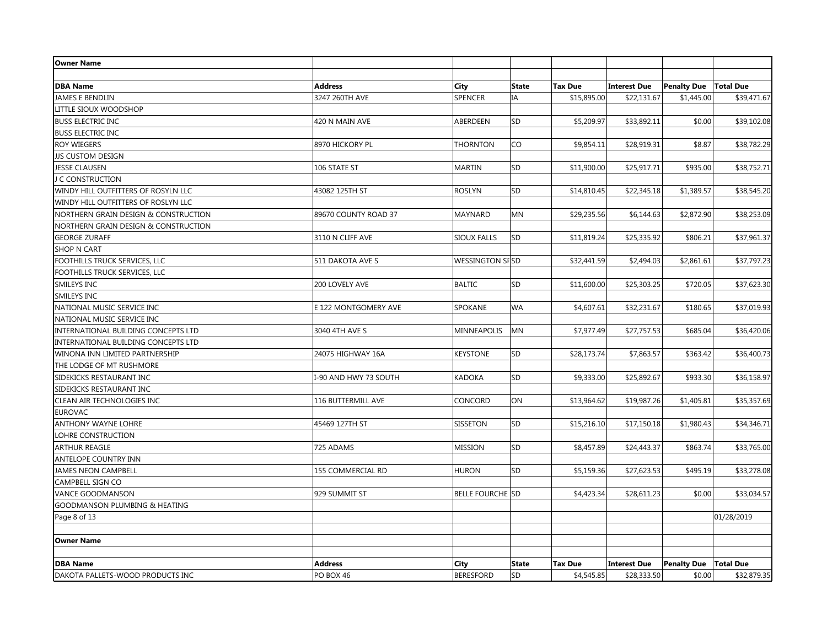| <b>Owner Name</b>                        |                       |                         |              |                |                     |                    |                  |
|------------------------------------------|-----------------------|-------------------------|--------------|----------------|---------------------|--------------------|------------------|
|                                          |                       |                         |              |                |                     |                    |                  |
| <b>DBA Name</b>                          | <b>Address</b>        | <b>City</b>             | <b>State</b> | <b>Tax Due</b> | <b>Interest Due</b> | <b>Penalty Due</b> | <b>Total Due</b> |
| <b>JAMES E BENDLIN</b>                   | 3247 260TH AVE        | <b>SPENCER</b>          | IA           | \$15,895.00    | \$22,131.67         | \$1,445.00         | \$39,471.67      |
| LITTLE SIOUX WOODSHOP                    |                       |                         |              |                |                     |                    |                  |
| <b>BUSS ELECTRIC INC</b>                 | 420 N MAIN AVE        | ABERDEEN                | SD           | \$5,209.97     | \$33,892.11         | \$0.00             | \$39,102.08      |
| <b>BUSS ELECTRIC INC</b>                 |                       |                         |              |                |                     |                    |                  |
| <b>ROY WIEGERS</b>                       | 8970 HICKORY PL       | <b>THORNTON</b>         | CO           | \$9,854.11     | \$28,919.31         | \$8.87             | \$38,782.29      |
| <b>JJS CUSTOM DESIGN</b>                 |                       |                         |              |                |                     |                    |                  |
| <b>JESSE CLAUSEN</b>                     | 106 STATE ST          | <b>MARTIN</b>           | SD           | \$11,900.00    | \$25,917.71         | \$935.00           | \$38,752.71      |
| J C CONSTRUCTION                         |                       |                         |              |                |                     |                    |                  |
| WINDY HILL OUTFITTERS OF ROSYLN LLC      | 43082 125TH ST        | <b>ROSLYN</b>           | SD           | \$14,810.45    | \$22,345.18         | \$1,389.57         | \$38,545.20      |
| WINDY HILL OUTFITTERS OF ROSLYN LLC      |                       |                         |              |                |                     |                    |                  |
| NORTHERN GRAIN DESIGN & CONSTRUCTION     | 89670 COUNTY ROAD 37  | <b>MAYNARD</b>          | <b>MN</b>    | \$29,235.56    | \$6,144.63          | \$2,872.90         | \$38,253.09      |
| NORTHERN GRAIN DESIGN & CONSTRUCTION     |                       |                         |              |                |                     |                    |                  |
| <b>GEORGE ZURAFF</b>                     | 3110 N CLIFF AVE      | <b>SIOUX FALLS</b>      | SD           | \$11,819.24    | \$25,335.92         | \$806.21           | \$37,961.37      |
| <b>SHOP N CART</b>                       |                       |                         |              |                |                     |                    |                  |
| FOOTHILLS TRUCK SERVICES, LLC            | 511 DAKOTA AVE S      | WESSINGTON SFSD         |              | \$32,441.59    | \$2,494.03          | \$2,861.61         | \$37,797.23      |
| FOOTHILLS TRUCK SERVICES, LLC            |                       |                         |              |                |                     |                    |                  |
| SMILEYS INC                              | 200 LOVELY AVE        | <b>BALTIC</b>           | SD           | \$11,600.00    | \$25,303.25         | \$720.05           | \$37,623.30      |
| SMILEYS INC                              |                       |                         |              |                |                     |                    |                  |
| NATIONAL MUSIC SERVICE INC               | E 122 MONTGOMERY AVE  | SPOKANE                 | WA           | \$4,607.61     | \$32,231.67         | \$180.65           | \$37,019.93      |
| NATIONAL MUSIC SERVICE INC               |                       |                         |              |                |                     |                    |                  |
| INTERNATIONAL BUILDING CONCEPTS LTD      | 3040 4TH AVE S        | MINNEAPOLIS             | <b>MN</b>    | \$7,977.49     | \$27,757.53         | \$685.04           | \$36,420.06      |
| INTERNATIONAL BUILDING CONCEPTS LTD      |                       |                         |              |                |                     |                    |                  |
| WINONA INN LIMITED PARTNERSHIP           | 24075 HIGHWAY 16A     | <b>KEYSTONE</b>         | SD           | \$28,173.74    | \$7,863.57          | \$363.42           | \$36,400.73      |
| THE LODGE OF MT RUSHMORE                 |                       |                         |              |                |                     |                    |                  |
| SIDEKICKS RESTAURANT INC                 | I-90 AND HWY 73 SOUTH | <b>KADOKA</b>           | SD           | \$9,333.00     | \$25,892.67         | \$933.30           | \$36,158.97      |
| SIDEKICKS RESTAURANT INC                 |                       |                         |              |                |                     |                    |                  |
| CLEAN AIR TECHNOLOGIES INC               | 116 BUTTERMILL AVE    | CONCORD                 | ON           | \$13,964.62    | \$19,987.26         | \$1,405.81         | \$35,357.69      |
| <b>EUROVAC</b>                           |                       |                         |              |                |                     |                    |                  |
| <b>ANTHONY WAYNE LOHRE</b>               | 45469 127TH ST        | <b>SISSETON</b>         | SD           | \$15,216.10    | \$17,150.18         | \$1,980.43         | \$34,346.71      |
| LOHRE CONSTRUCTION                       |                       |                         |              |                |                     |                    |                  |
| <b>ARTHUR REAGLE</b>                     | 725 ADAMS             | <b>MISSION</b>          | SD           | \$8,457.89     | \$24,443.37         | \$863.74           | \$33,765.00      |
| <b>ANTELOPE COUNTRY INN</b>              |                       |                         |              |                |                     |                    |                  |
| <b>JAMES NEON CAMPBELL</b>               | 155 COMMERCIAL RD     | <b>HURON</b>            | <b>SD</b>    | \$5,159.36     | \$27,623.53         | \$495.19           | \$33,278.08      |
| <b>CAMPBELL SIGN CO</b>                  |                       |                         |              |                |                     |                    |                  |
| <b>VANCE GOODMANSON</b>                  | 929 SUMMIT ST         | <b>BELLE FOURCHE SD</b> |              | \$4,423.34     | \$28,611.23         | \$0.00             | \$33,034.57      |
| <b>GOODMANSON PLUMBING &amp; HEATING</b> |                       |                         |              |                |                     |                    |                  |
| Page 8 of 13                             |                       |                         |              |                |                     |                    | 01/28/2019       |
|                                          |                       |                         |              |                |                     |                    |                  |
| <b>Owner Name</b>                        |                       |                         |              |                |                     |                    |                  |
|                                          |                       |                         |              |                |                     |                    |                  |
| <b>DBA Name</b>                          | <b>Address</b>        | City                    | <b>State</b> | <b>Tax Due</b> | <b>Interest Due</b> | <b>Penalty Due</b> | <b>Total Due</b> |
| DAKOTA PALLETS-WOOD PRODUCTS INC         | PO BOX 46             | <b>BERESFORD</b>        | SD           | \$4,545.85     | \$28,333.50         | \$0.00             | \$32,879.35      |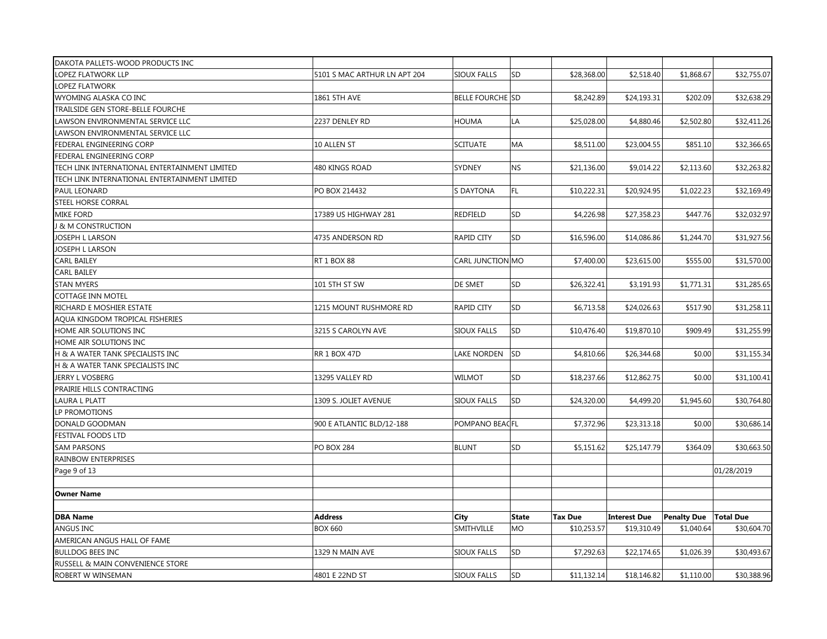| DAKOTA PALLETS-WOOD PRODUCTS INC              |                              |                         |           |                |                     |                    |                  |
|-----------------------------------------------|------------------------------|-------------------------|-----------|----------------|---------------------|--------------------|------------------|
| LOPEZ FLATWORK LLP                            | 5101 S MAC ARTHUR LN APT 204 | <b>SIOUX FALLS</b>      | SD        | \$28,368.00    | \$2,518.40          | \$1,868.67         | \$32,755.07      |
| <b>LOPEZ FLATWORK</b>                         |                              |                         |           |                |                     |                    |                  |
| WYOMING ALASKA CO INC                         | 1861 5TH AVE                 | <b>BELLE FOURCHE SD</b> |           | \$8,242.89     | \$24,193.31         | \$202.09           | \$32,638.29      |
| TRAILSIDE GEN STORE-BELLE FOURCHE             |                              |                         |           |                |                     |                    |                  |
| LAWSON ENVIRONMENTAL SERVICE LLC              | 2237 DENLEY RD               | <b>HOUMA</b>            | LA        | \$25,028.00    | \$4,880.46          | \$2,502.80         | \$32,411.26      |
| LAWSON ENVIRONMENTAL SERVICE LLC              |                              |                         |           |                |                     |                    |                  |
| FEDERAL ENGINEERING CORP                      | 10 ALLEN ST                  | <b>SCITUATE</b>         | MA        | \$8,511.00     | \$23,004.55         | \$851.10           | \$32,366.65      |
| FEDERAL ENGINEERING CORP                      |                              |                         |           |                |                     |                    |                  |
| TECH LINK INTERNATIONAL ENTERTAINMENT LIMITED | 480 KINGS ROAD               | <b>SYDNEY</b>           | <b>NS</b> | \$21,136.00    | \$9,014.22          | \$2,113.60         | \$32,263.82      |
| TECH LINK INTERNATIONAL ENTERTAINMENT LIMITED |                              |                         |           |                |                     |                    |                  |
| PAUL LEONARD                                  | PO BOX 214432                | <b>S DAYTONA</b>        | FL        | \$10,222.31    | \$20,924.95         | \$1,022.23         | \$32,169.49      |
| <b>STEEL HORSE CORRAL</b>                     |                              |                         |           |                |                     |                    |                  |
| <b>MIKE FORD</b>                              | 17389 US HIGHWAY 281         | REDFIELD                | SD        | \$4,226.98     | \$27,358.23         | \$447.76           | \$32,032.97      |
| <b>&amp; M CONSTRUCTION</b>                   |                              |                         |           |                |                     |                    |                  |
| <b>JOSEPH L LARSON</b>                        | 4735 ANDERSON RD             | <b>RAPID CITY</b>       | SD        | \$16,596.00    | \$14,086.86         | \$1,244.70         | \$31,927.56      |
| JOSEPH L LARSON                               |                              |                         |           |                |                     |                    |                  |
| <b>CARL BAILEY</b>                            | RT 1 BOX 88                  | CARL JUNCTION MO        |           | \$7,400.00     | \$23,615.00         | \$555.00           | \$31,570.00      |
| <b>CARL BAILEY</b>                            |                              |                         |           |                |                     |                    |                  |
| <b>STAN MYERS</b>                             | 101 5TH ST SW                | DE SMET                 | SD        | \$26,322.41    | \$3,191.93          | \$1,771.31         | \$31,285.65      |
| <b>COTTAGE INN MOTEL</b>                      |                              |                         |           |                |                     |                    |                  |
| RICHARD E MOSHIER ESTATE                      | 1215 MOUNT RUSHMORE RD       | <b>RAPID CITY</b>       | SD        | \$6,713.58     | \$24,026.63         | \$517.90           | \$31,258.11      |
| AQUA KINGDOM TROPICAL FISHERIES               |                              |                         |           |                |                     |                    |                  |
| HOME AIR SOLUTIONS INC                        | 3215 S CAROLYN AVE           | <b>SIOUX FALLS</b>      | lsd       | \$10,476.40    | \$19,870.10         | \$909.49           | \$31,255.99      |
| HOME AIR SOLUTIONS INC                        |                              |                         |           |                |                     |                    |                  |
| H & A WATER TANK SPECIALISTS INC              | <b>RR 1 BOX 47D</b>          | LAKE NORDEN             | SD        | \$4,810.66     | \$26,344.68         | \$0.00             | \$31,155.34      |
| H & A WATER TANK SPECIALISTS INC              |                              |                         |           |                |                     |                    |                  |
| <b>JERRY L VOSBERG</b>                        | 13295 VALLEY RD              | <b>WILMOT</b>           | SD        | \$18,237.66    | \$12,862.75         | \$0.00             | \$31,100.41      |
| PRAIRIE HILLS CONTRACTING                     |                              |                         |           |                |                     |                    |                  |
| <b>LAURA L PLATT</b>                          | 1309 S. JOLIET AVENUE        | SIOUX FALLS             | <b>SD</b> | \$24,320.00    | \$4,499.20          | \$1,945.60         | \$30,764.80      |
| LP PROMOTIONS                                 |                              |                         |           |                |                     |                    |                  |
| DONALD GOODMAN                                | 900 E ATLANTIC BLD/12-188    | POMPANO BEACFL          |           | \$7,372.96     | \$23,313.18         | \$0.00             | \$30,686.14      |
| <b>FESTIVAL FOODS LTD</b>                     |                              |                         |           |                |                     |                    |                  |
| <b>SAM PARSONS</b>                            | <b>PO BOX 284</b>            | <b>BLUNT</b>            | SD        | \$5,151.62     | \$25,147.79         | \$364.09           | \$30,663.50      |
| RAINBOW ENTERPRISES                           |                              |                         |           |                |                     |                    |                  |
| Page 9 of 13                                  |                              |                         |           |                |                     |                    | 01/28/2019       |
|                                               |                              |                         |           |                |                     |                    |                  |
| <b>Owner Name</b>                             |                              |                         |           |                |                     |                    |                  |
|                                               |                              |                         |           |                |                     |                    |                  |
| <b>DBA Name</b>                               | <b>Address</b>               | City                    | State     | <b>Tax Due</b> | <b>Interest Due</b> | <b>Penalty Due</b> | <b>Total Due</b> |
| ANGUS INC                                     | <b>BOX 660</b>               | SMITHVILLE              | <b>MO</b> | \$10,253.57    | \$19,310.49         | \$1,040.64         | \$30,604.70      |
| AMERICAN ANGUS HALL OF FAME                   |                              |                         |           |                |                     |                    |                  |
| <b>BULLDOG BEES INC</b>                       | 1329 N MAIN AVE              | <b>SIOUX FALLS</b>      | lsd       | \$7,292.63     | \$22,174.65         | \$1,026.39         | \$30,493.67      |
| RUSSELL & MAIN CONVENIENCE STORE              |                              |                         |           |                |                     |                    |                  |
| ROBERT W WINSEMAN                             | 4801 E 22ND ST               | <b>SIOUX FALLS</b>      | SD        | \$11,132.14    | \$18,146.82         | \$1,110.00         | \$30,388.96      |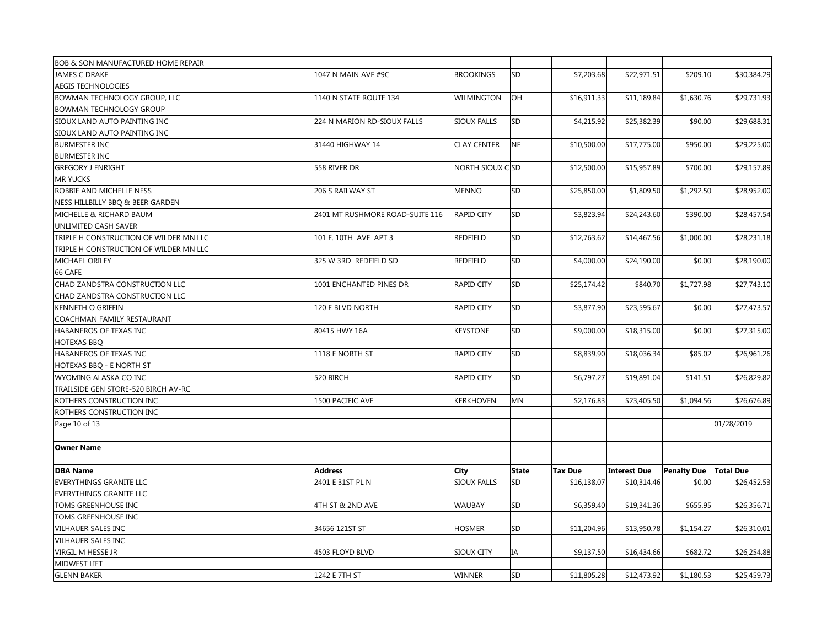| BOB & SON MANUFACTURED HOME REPAIR     |                                 |                    |              |                |                     |                                |             |
|----------------------------------------|---------------------------------|--------------------|--------------|----------------|---------------------|--------------------------------|-------------|
| <b>JAMES C DRAKE</b>                   | 1047 N MAIN AVE #9C             | <b>BROOKINGS</b>   | SD           | \$7,203.68     | \$22,971.51         | \$209.10                       | \$30,384.29 |
| <b>AEGIS TECHNOLOGIES</b>              |                                 |                    |              |                |                     |                                |             |
| BOWMAN TECHNOLOGY GROUP, LLC           | 1140 N STATE ROUTE 134          | WILMINGTON         | <b>OH</b>    | \$16,911.33    | \$11,189.84         | \$1,630.76                     | \$29,731.93 |
| <b>BOWMAN TECHNOLOGY GROUP</b>         |                                 |                    |              |                |                     |                                |             |
| SIOUX LAND AUTO PAINTING INC           | 224 N MARION RD-SIOUX FALLS     | <b>SIOUX FALLS</b> | SD           | \$4,215.92     | \$25,382.39         | \$90.00                        | \$29,688.31 |
| SIOUX LAND AUTO PAINTING INC           |                                 |                    |              |                |                     |                                |             |
| <b>BURMESTER INC</b>                   | 31440 HIGHWAY 14                | <b>CLAY CENTER</b> | <b>NE</b>    | \$10,500.00    | \$17,775.00         | \$950.00                       | \$29,225.00 |
| <b>BURMESTER INC</b>                   |                                 |                    |              |                |                     |                                |             |
| <b>GREGORY J ENRIGHT</b>               | 558 RIVER DR                    | NORTH SIOUX CSD    |              | \$12,500.00    | \$15,957.89         | \$700.00                       | \$29,157.89 |
| <b>MR YUCKS</b>                        |                                 |                    |              |                |                     |                                |             |
| ROBBIE AND MICHELLE NESS               | 206 S RAILWAY ST                | <b>MENNO</b>       | SD           | \$25,850.00    | \$1,809.50          | \$1,292.50                     | \$28,952.00 |
| NESS HILLBILLY BBQ & BEER GARDEN       |                                 |                    |              |                |                     |                                |             |
| MICHELLE & RICHARD BAUM                | 2401 MT RUSHMORE ROAD-SUITE 116 | <b>RAPID CITY</b>  | SD           | \$3,823.94     | \$24,243.60         | \$390.00                       | \$28,457.54 |
| UNLIMITED CASH SAVER                   |                                 |                    |              |                |                     |                                |             |
| TRIPLE H CONSTRUCTION OF WILDER MN LLC | 101 E. 10TH AVE APT 3           | <b>REDFIELD</b>    | SD           | \$12,763.62    | \$14,467.56         | \$1,000.00                     | \$28,231.18 |
| TRIPLE H CONSTRUCTION OF WILDER MN LLC |                                 |                    |              |                |                     |                                |             |
| MICHAEL ORILEY                         | 325 W 3RD REDFIELD SD           | REDFIELD           | SD           | \$4,000.00     | \$24,190.00         | \$0.00                         | \$28,190.00 |
| 66 CAFE                                |                                 |                    |              |                |                     |                                |             |
| CHAD ZANDSTRA CONSTRUCTION LLC         | 1001 ENCHANTED PINES DR         | <b>RAPID CITY</b>  | SD           | \$25,174.42    | \$840.70            | \$1,727.98                     | \$27,743.10 |
| CHAD ZANDSTRA CONSTRUCTION LLC         |                                 |                    |              |                |                     |                                |             |
| <b>KENNETH O GRIFFIN</b>               | 120 E BLVD NORTH                | <b>RAPID CITY</b>  | SD           | \$3,877.90     | \$23,595.67         | \$0.00                         | \$27,473.57 |
| COACHMAN FAMILY RESTAURANT             |                                 |                    |              |                |                     |                                |             |
| HABANEROS OF TEXAS INC                 | 80415 HWY 16A                   | <b>KEYSTONE</b>    | SD           | \$9,000.00     | \$18,315.00         | \$0.00                         | \$27,315.00 |
| <b>HOTEXAS BBO</b>                     |                                 |                    |              |                |                     |                                |             |
| HABANEROS OF TEXAS INC                 | 1118 E NORTH ST                 | <b>RAPID CITY</b>  | SD           | \$8,839.90     | \$18,036.34         | \$85.02                        | \$26,961.26 |
| HOTEXAS BBQ - E NORTH ST               |                                 |                    |              |                |                     |                                |             |
| WYOMING ALASKA CO INC                  | 520 BIRCH                       | <b>RAPID CITY</b>  | SD           | \$6,797.27     | \$19,891.04         | \$141.51                       | \$26,829.82 |
| TRAILSIDE GEN STORE-520 BIRCH AV-RC    |                                 |                    |              |                |                     |                                |             |
| ROTHERS CONSTRUCTION INC               | 1500 PACIFIC AVE                | KERKHOVEN          | MN           | \$2,176.83     | \$23,405.50         | \$1,094.56                     | \$26,676.89 |
| ROTHERS CONSTRUCTION INC               |                                 |                    |              |                |                     |                                |             |
| Page 10 of 13                          |                                 |                    |              |                |                     |                                | 01/28/2019  |
|                                        |                                 |                    |              |                |                     |                                |             |
| <b>Owner Name</b>                      |                                 |                    |              |                |                     |                                |             |
|                                        |                                 |                    |              |                |                     |                                |             |
| <b>DBA Name</b>                        | <b>Address</b>                  | City               | <b>State</b> | <b>Tax Due</b> | <b>Interest Due</b> | <b>Penalty Due   Total Due</b> |             |
| <b>EVERYTHINGS GRANITE LLC</b>         | 2401 E 31ST PL N                | SIOUX FALLS        | <b>SD</b>    | \$16,138.07    | \$10,314.46         | \$0.00                         | \$26,452.53 |
| <b>EVERYTHINGS GRANITE LLC</b>         |                                 |                    |              |                |                     |                                |             |
| TOMS GREENHOUSE INC                    | 4TH ST & 2ND AVE                | <b>WAUBAY</b>      | SD           | \$6,359.40     | \$19,341.36         | \$655.95                       | \$26,356.71 |
| <b>TOMS GREENHOUSE INC</b>             |                                 |                    |              |                |                     |                                |             |
| <b>VILHAUER SALES INC</b>              | 34656 121ST ST                  | <b>HOSMER</b>      | SD           | \$11,204.96    | \$13,950.78         | \$1,154.27                     | \$26,310.01 |
| VILHAUER SALES INC                     |                                 |                    |              |                |                     |                                |             |
| VIRGIL M HESSE JR                      | 4503 FLOYD BLVD                 | SIOUX CITY         | IA           | \$9,137.50     | \$16,434.66         | \$682.72                       | \$26,254.88 |
| MIDWEST LIFT                           |                                 |                    |              |                |                     |                                |             |
| <b>GLENN BAKER</b>                     | 1242 E 7TH ST                   | <b>WINNER</b>      | <b>SD</b>    | \$11,805.28    | \$12,473.92         | \$1,180.53                     | \$25,459.73 |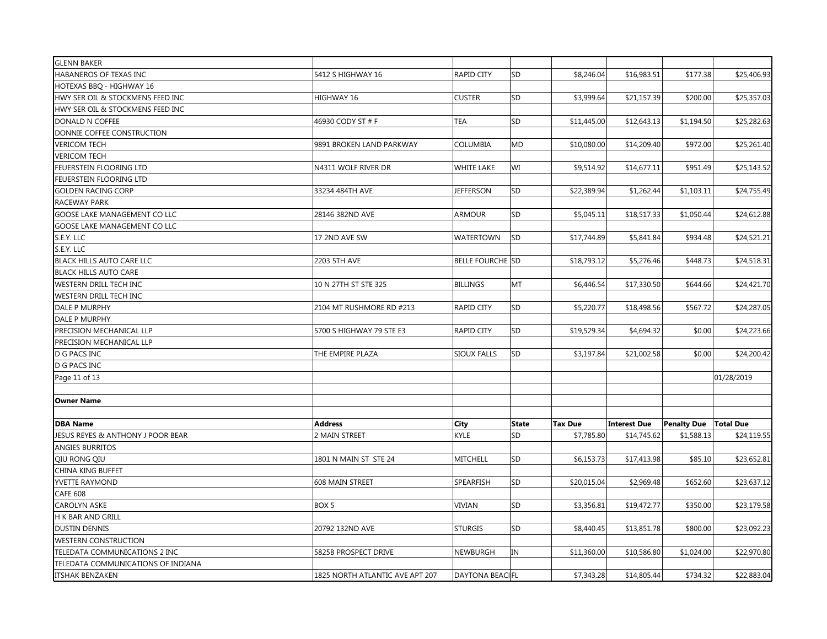| <b>GLENN BAKER</b>                 |                                 |                         |              |                |                     |                    |                  |
|------------------------------------|---------------------------------|-------------------------|--------------|----------------|---------------------|--------------------|------------------|
| HABANEROS OF TEXAS INC             | 5412 S HIGHWAY 16               | <b>RAPID CITY</b>       | SD           | \$8,246.04     | \$16,983.51         | \$177.38           | \$25,406.93      |
| HOTEXAS BBQ - HIGHWAY 16           |                                 |                         |              |                |                     |                    |                  |
| HWY SER OIL & STOCKMENS FEED INC   | HIGHWAY 16                      | <b>CUSTER</b>           | SD           | \$3,999.64     | \$21,157.39         | \$200.00           | \$25,357.03      |
| HWY SER OIL & STOCKMENS FEED INC   |                                 |                         |              |                |                     |                    |                  |
| DONALD N COFFEE                    | 46930 CODY ST # F               | <b>TEA</b>              | SD           | \$11,445.00    | \$12,643.13         | \$1,194.50         | \$25,282.63      |
| DONNIE COFFEE CONSTRUCTION         |                                 |                         |              |                |                     |                    |                  |
| <b>VERICOM TECH</b>                | 9891 BROKEN LAND PARKWAY        | COLUMBIA                | MD           | \$10,080.00    | \$14,209.40         | \$972.00           | \$25,261.40      |
| <b>VERICOM TECH</b>                |                                 |                         |              |                |                     |                    |                  |
| FEUERSTEIN FLOORING LTD            | N4311 WOLF RIVER DR             | <b>WHITE LAKE</b>       | WI           | \$9,514.92     | \$14,677.11         | \$951.49           | \$25,143.52      |
| FEUERSTEIN FLOORING LTD            |                                 |                         |              |                |                     |                    |                  |
| <b>GOLDEN RACING CORP</b>          | 33234 484TH AVE                 | <b>JEFFERSON</b>        | SD           | \$22,389.94    | \$1,262.44          | \$1,103.11         | \$24,755.49      |
| RACEWAY PARK                       |                                 |                         |              |                |                     |                    |                  |
| GOOSE LAKE MANAGEMENT CO LLC       | 28146 382ND AVE                 | <b>ARMOUR</b>           | SD           | \$5,045.11     | \$18,517.33         | \$1,050.44         | \$24,612.88      |
| GOOSE LAKE MANAGEMENT CO LLC       |                                 |                         |              |                |                     |                    |                  |
| S.E.Y. LLC                         | 17 2ND AVE SW                   | <b>WATERTOWN</b>        | SD           | \$17,744.89    | \$5,841.84          | \$934.48           | \$24,521.21      |
| S.E.Y. LLC                         |                                 |                         |              |                |                     |                    |                  |
| BLACK HILLS AUTO CARE LLC          | 2203 5TH AVE                    | <b>BELLE FOURCHE SD</b> |              | \$18,793.12    | \$5,276.46          | \$448.73           | \$24,518.31      |
| <b>BLACK HILLS AUTO CARE</b>       |                                 |                         |              |                |                     |                    |                  |
| WESTERN DRILL TECH INC             | 10 N 27TH ST STE 325            | <b>BILLINGS</b>         | MT           | \$6,446.54     | \$17,330.50         | \$644.66           | \$24,421.70      |
| WESTERN DRILL TECH INC             |                                 |                         |              |                |                     |                    |                  |
| DALE P MURPHY                      | 2104 MT RUSHMORE RD #213        | <b>RAPID CITY</b>       | SD           | \$5,220.77     | \$18,498.56         | \$567.72           | \$24,287.05      |
| DALE P MURPHY                      |                                 |                         |              |                |                     |                    |                  |
| PRECISION MECHANICAL LLP           | 5700 S HIGHWAY 79 STE E3        | <b>RAPID CITY</b>       | SD           | \$19,529.34    | \$4,694.32          | \$0.00             | \$24,223.66      |
| PRECISION MECHANICAL LLP           |                                 |                         |              |                |                     |                    |                  |
| D G PACS INC                       | THE EMPIRE PLAZA                | <b>SIOUX FALLS</b>      | SD           | \$3,197.84     | \$21,002.58         | \$0.00             | \$24,200.42      |
| D G PACS INC                       |                                 |                         |              |                |                     |                    |                  |
| Page 11 of 13                      |                                 |                         |              |                |                     |                    | 01/28/2019       |
|                                    |                                 |                         |              |                |                     |                    |                  |
| <b>Owner Name</b>                  |                                 |                         |              |                |                     |                    |                  |
|                                    |                                 |                         |              |                |                     |                    |                  |
| <b>DBA Name</b>                    | <b>Address</b>                  | City                    | <b>State</b> | <b>Tax Due</b> | <b>Interest Due</b> | <b>Penalty Due</b> | <b>Total Due</b> |
| JESUS REYES & ANTHONY J POOR BEAR  | 2 MAIN STREET                   | <b>KYLE</b>             | SD           | \$7,785.80     | \$14,745.62         | \$1,588.13         | \$24,119.55      |
| <b>ANGIES BURRITOS</b>             |                                 |                         |              |                |                     |                    |                  |
| QIU RONG QIU                       | 1801 N MAIN ST STE 24           | <b>MITCHELL</b>         | SD           | \$6,153.73     | \$17,413.98         | \$85.10            | \$23,652.81      |
| CHINA KING BUFFET                  |                                 |                         |              |                |                     |                    |                  |
| YVETTE RAYMOND                     | 608 MAIN STREET                 | SPEARFISH               | SD           | \$20,015.04    | \$2,969.48          | \$652.60           | \$23,637.12      |
| <b>CAFE 608</b>                    |                                 |                         |              |                |                     |                    |                  |
| CAROLYN ASKE                       | BOX <sub>5</sub>                | <b>VIVIAN</b>           | SD           | \$3,356.81     | \$19,472.77         | \$350.00           | \$23,179.58      |
| H K BAR AND GRILL                  |                                 |                         |              |                |                     |                    |                  |
| <b>DUSTIN DENNIS</b>               | 20792 132ND AVE                 | <b>STURGIS</b>          | SD           | \$8,440.45     | \$13,851.78         | \$800.00           | \$23,092.23      |
| <b>WESTERN CONSTRUCTION</b>        |                                 |                         |              |                |                     |                    |                  |
| TELEDATA COMMUNICATIONS 2 INC      | 5825B PROSPECT DRIVE            | <b>NEWBURGH</b>         | IN           | \$11,360.00    | \$10,586.80         | \$1,024.00         | \$22,970.80      |
| TELEDATA COMMUNICATIONS OF INDIANA |                                 |                         |              |                |                     |                    |                  |
| <b>ITSHAK BENZAKEN</b>             | 1825 NORTH ATLANTIC AVE APT 207 | DAYTONA BEACIFL         |              | \$7,343.28     | \$14,805.44         | \$734.32           | \$22,883.04      |